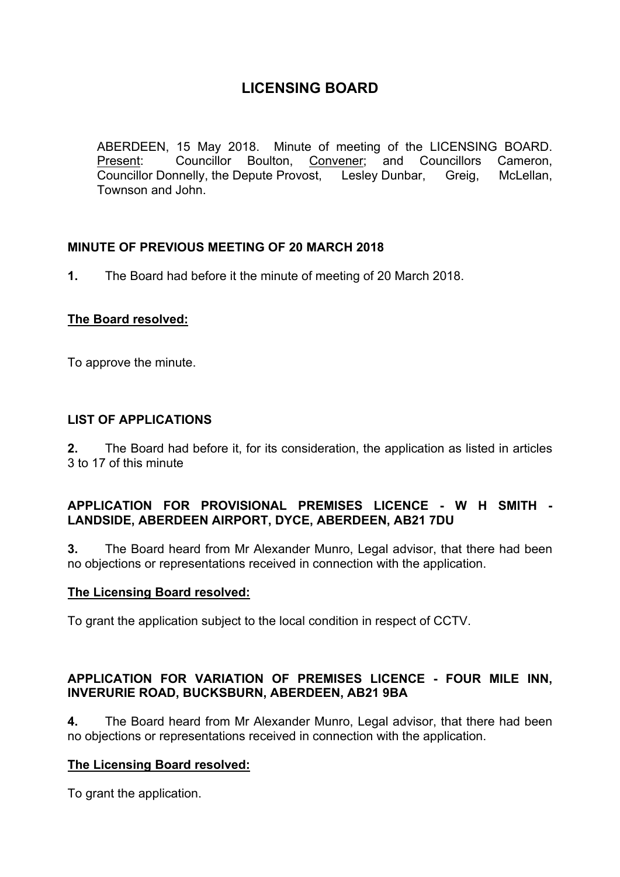ABERDEEN, 15 May 2018. Minute of meeting of the LICENSING BOARD. Present: Councillor Boulton, Convener; and Councillors Cameron, Councillor Donnelly, the Depute Provost, Lesley Dunbar, Greig, McLellan, Townson and John.

## **MINUTE OF PREVIOUS MEETING OF 20 MARCH 2018**

**1.** The Board had before it the minute of meeting of 20 March 2018.

## **The Board resolved:**

To approve the minute.

## **LIST OF APPLICATIONS**

**2.** The Board had before it, for its consideration, the application as listed in articles 3 to 17 of this minute

## **APPLICATION FOR PROVISIONAL PREMISES LICENCE - W H SMITH - LANDSIDE, ABERDEEN AIRPORT, DYCE, ABERDEEN, AB21 7DU**

**3.** The Board heard from Mr Alexander Munro, Legal advisor, that there had been no objections or representations received in connection with the application.

#### **The Licensing Board resolved:**

To grant the application subject to the local condition in respect of CCTV.

## **APPLICATION FOR VARIATION OF PREMISES LICENCE - FOUR MILE INN, INVERURIE ROAD, BUCKSBURN, ABERDEEN, AB21 9BA**

**4.** The Board heard from Mr Alexander Munro, Legal advisor, that there had been no objections or representations received in connection with the application.

## **The Licensing Board resolved:**

To grant the application.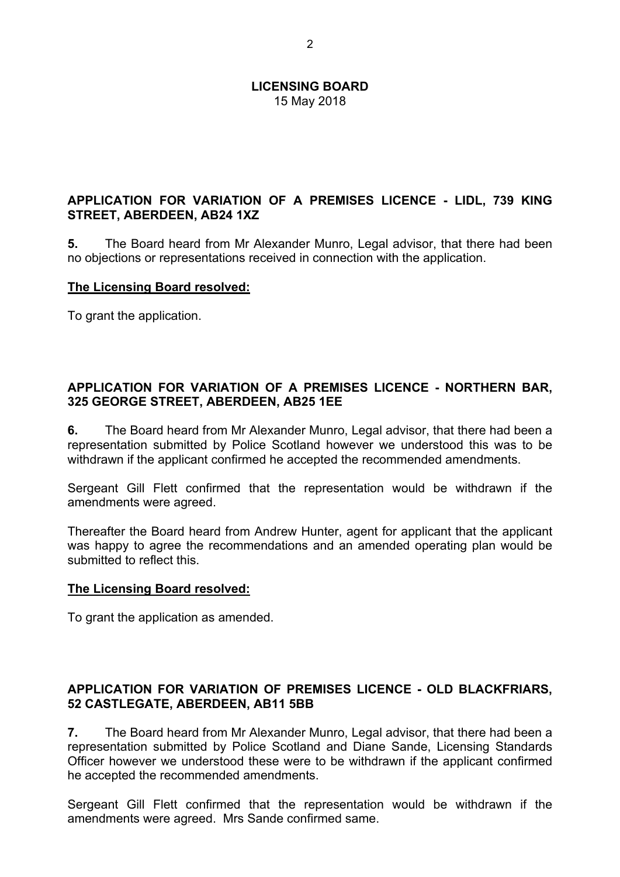## **APPLICATION FOR VARIATION OF A PREMISES LICENCE - LIDL, 739 KING STREET, ABERDEEN, AB24 1XZ**

**5.** The Board heard from Mr Alexander Munro, Legal advisor, that there had been no objections or representations received in connection with the application.

#### **The Licensing Board resolved:**

To grant the application.

#### **APPLICATION FOR VARIATION OF A PREMISES LICENCE - NORTHERN BAR, 325 GEORGE STREET, ABERDEEN, AB25 1EE**

**6.** The Board heard from Mr Alexander Munro, Legal advisor, that there had been a representation submitted by Police Scotland however we understood this was to be withdrawn if the applicant confirmed he accepted the recommended amendments.

Sergeant Gill Flett confirmed that the representation would be withdrawn if the amendments were agreed.

Thereafter the Board heard from Andrew Hunter, agent for applicant that the applicant was happy to agree the recommendations and an amended operating plan would be submitted to reflect this.

#### **The Licensing Board resolved:**

To grant the application as amended.

## **APPLICATION FOR VARIATION OF PREMISES LICENCE - OLD BLACKFRIARS, 52 CASTLEGATE, ABERDEEN, AB11 5BB**

**7.** The Board heard from Mr Alexander Munro, Legal advisor, that there had been a representation submitted by Police Scotland and Diane Sande, Licensing Standards Officer however we understood these were to be withdrawn if the applicant confirmed he accepted the recommended amendments.

Sergeant Gill Flett confirmed that the representation would be withdrawn if the amendments were agreed. Mrs Sande confirmed same.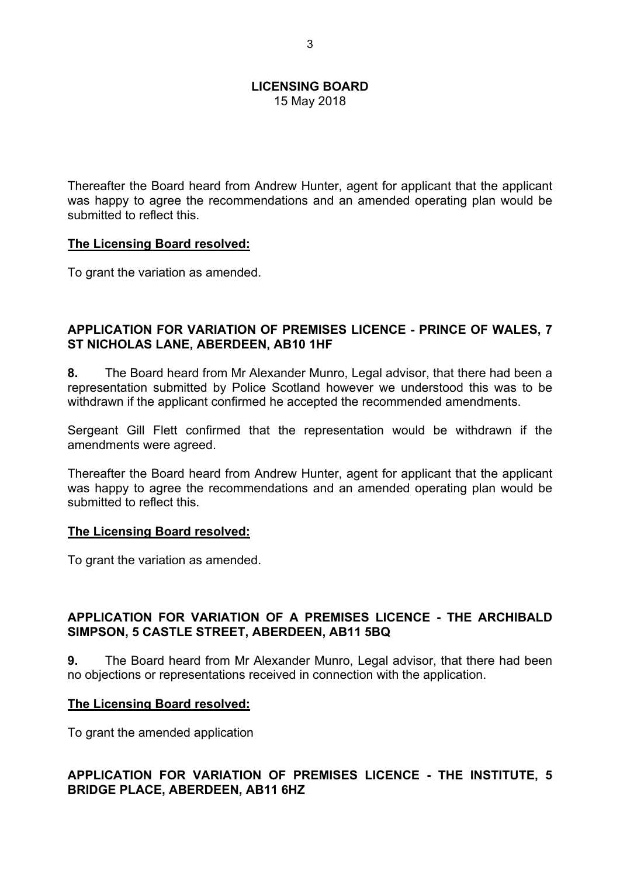Thereafter the Board heard from Andrew Hunter, agent for applicant that the applicant was happy to agree the recommendations and an amended operating plan would be submitted to reflect this.

#### **The Licensing Board resolved:**

To grant the variation as amended.

#### **APPLICATION FOR VARIATION OF PREMISES LICENCE - PRINCE OF WALES, 7 ST NICHOLAS LANE, ABERDEEN, AB10 1HF**

**8.** The Board heard from Mr Alexander Munro, Legal advisor, that there had been a representation submitted by Police Scotland however we understood this was to be withdrawn if the applicant confirmed he accepted the recommended amendments.

Sergeant Gill Flett confirmed that the representation would be withdrawn if the amendments were agreed.

Thereafter the Board heard from Andrew Hunter, agent for applicant that the applicant was happy to agree the recommendations and an amended operating plan would be submitted to reflect this.

#### **The Licensing Board resolved:**

To grant the variation as amended.

## **APPLICATION FOR VARIATION OF A PREMISES LICENCE - THE ARCHIBALD SIMPSON, 5 CASTLE STREET, ABERDEEN, AB11 5BQ**

**9.** The Board heard from Mr Alexander Munro, Legal advisor, that there had been no objections or representations received in connection with the application.

#### **The Licensing Board resolved:**

To grant the amended application

## **APPLICATION FOR VARIATION OF PREMISES LICENCE - THE INSTITUTE, 5 BRIDGE PLACE, ABERDEEN, AB11 6HZ**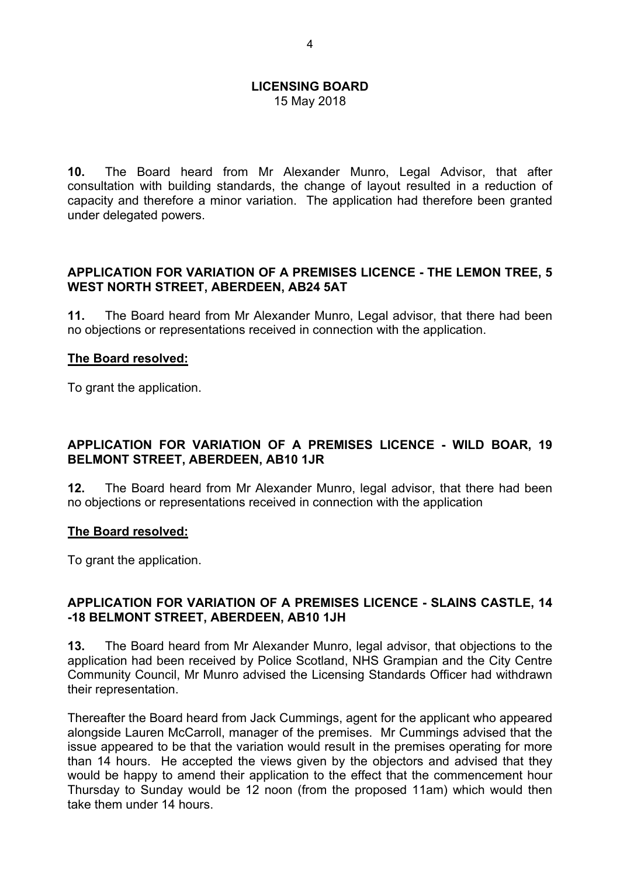15 May 2018

**10.** The Board heard from Mr Alexander Munro, Legal Advisor, that after consultation with building standards, the change of layout resulted in a reduction of capacity and therefore a minor variation. The application had therefore been granted under delegated powers.

## **APPLICATION FOR VARIATION OF A PREMISES LICENCE - THE LEMON TREE, 5 WEST NORTH STREET, ABERDEEN, AB24 5AT**

**11.** The Board heard from Mr Alexander Munro, Legal advisor, that there had been no objections or representations received in connection with the application.

#### **The Board resolved:**

To grant the application.

## **APPLICATION FOR VARIATION OF A PREMISES LICENCE - WILD BOAR, 19 BELMONT STREET, ABERDEEN, AB10 1JR**

**12.** The Board heard from Mr Alexander Munro, legal advisor, that there had been no objections or representations received in connection with the application

#### **The Board resolved:**

To grant the application.

#### **APPLICATION FOR VARIATION OF A PREMISES LICENCE - SLAINS CASTLE, 14 -18 BELMONT STREET, ABERDEEN, AB10 1JH**

**13.** The Board heard from Mr Alexander Munro, legal advisor, that objections to the application had been received by Police Scotland, NHS Grampian and the City Centre Community Council, Mr Munro advised the Licensing Standards Officer had withdrawn their representation.

Thereafter the Board heard from Jack Cummings, agent for the applicant who appeared alongside Lauren McCarroll, manager of the premises. Mr Cummings advised that the issue appeared to be that the variation would result in the premises operating for more than 14 hours. He accepted the views given by the objectors and advised that they would be happy to amend their application to the effect that the commencement hour Thursday to Sunday would be 12 noon (from the proposed 11am) which would then take them under 14 hours.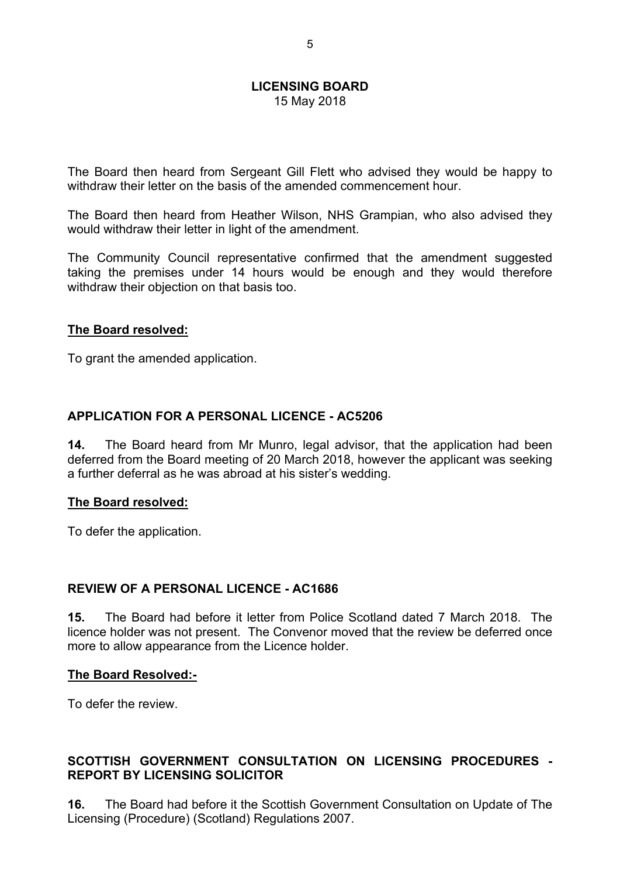The Board then heard from Sergeant Gill Flett who advised they would be happy to withdraw their letter on the basis of the amended commencement hour.

The Board then heard from Heather Wilson, NHS Grampian, who also advised they would withdraw their letter in light of the amendment.

The Community Council representative confirmed that the amendment suggested taking the premises under 14 hours would be enough and they would therefore withdraw their objection on that basis too.

#### **The Board resolved:**

To grant the amended application.

## **APPLICATION FOR A PERSONAL LICENCE - AC5206**

**14.** The Board heard from Mr Munro, legal advisor, that the application had been deferred from the Board meeting of 20 March 2018, however the applicant was seeking a further deferral as he was abroad at his sister's wedding.

#### **The Board resolved:**

To defer the application.

## **REVIEW OF A PERSONAL LICENCE - AC1686**

**15.** The Board had before it letter from Police Scotland dated 7 March 2018. The licence holder was not present. The Convenor moved that the review be deferred once more to allow appearance from the Licence holder.

## **The Board Resolved:-**

To defer the review.

## **SCOTTISH GOVERNMENT CONSULTATION ON LICENSING PROCEDURES - REPORT BY LICENSING SOLICITOR**

**16.** The Board had before it the Scottish Government Consultation on Update of The Licensing (Procedure) (Scotland) Regulations 2007.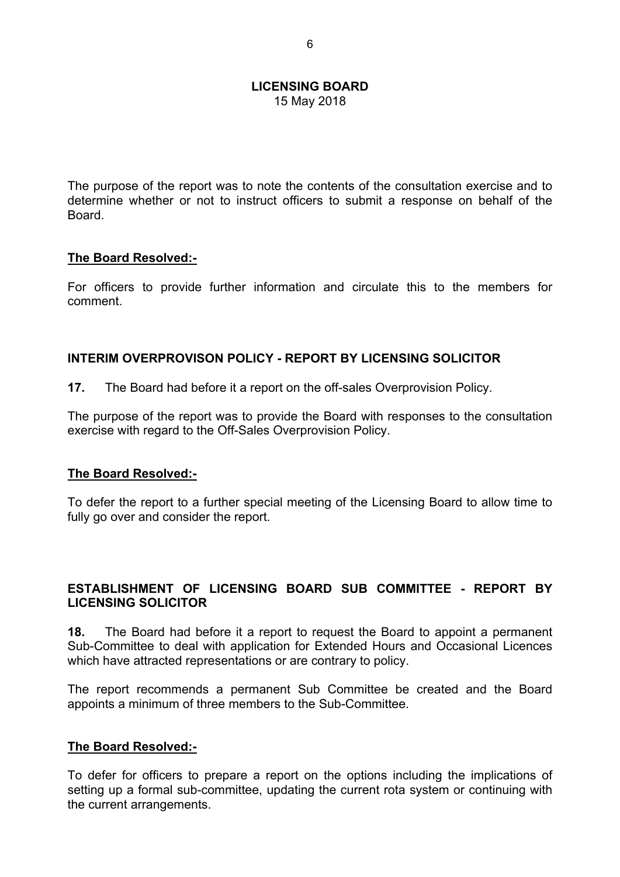15 May 2018

The purpose of the report was to note the contents of the consultation exercise and to determine whether or not to instruct officers to submit a response on behalf of the **Board** 

#### **The Board Resolved:-**

For officers to provide further information and circulate this to the members for comment.

## **INTERIM OVERPROVISON POLICY - REPORT BY LICENSING SOLICITOR**

**17.** The Board had before it a report on the off-sales Overprovision Policy.

The purpose of the report was to provide the Board with responses to the consultation exercise with regard to the Off-Sales Overprovision Policy.

## **The Board Resolved:-**

To defer the report to a further special meeting of the Licensing Board to allow time to fully go over and consider the report.

## **ESTABLISHMENT OF LICENSING BOARD SUB COMMITTEE - REPORT BY LICENSING SOLICITOR**

**18.** The Board had before it a report to request the Board to appoint a permanent Sub-Committee to deal with application for Extended Hours and Occasional Licences which have attracted representations or are contrary to policy.

The report recommends a permanent Sub Committee be created and the Board appoints a minimum of three members to the Sub-Committee.

## **The Board Resolved:-**

To defer for officers to prepare a report on the options including the implications of setting up a formal sub-committee, updating the current rota system or continuing with the current arrangements.